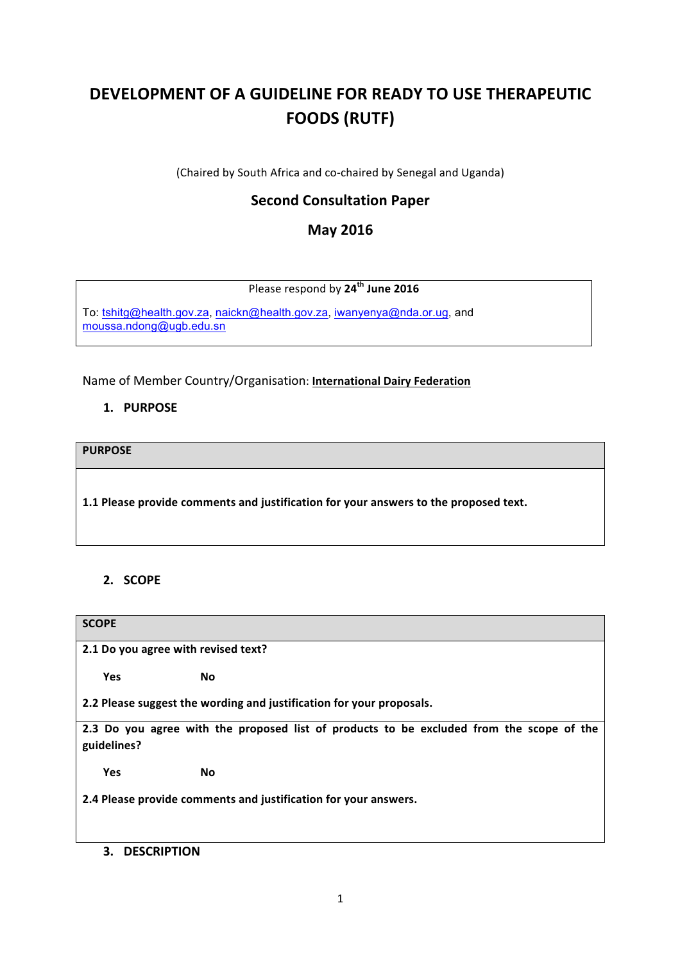# **DEVELOPMENT OF A GUIDELINE FOR READY TO USE THERAPEUTIC FOODS (RUTF)**

(Chaired by South Africa and co-chaired by Senegal and Uganda)

# **Second Consultation Paper**

# **May 2016**

Please respond by **24th June 2016**

To: [tshitg@health.gov.za](mailto:tshitg@health.gov.za), [naickn@health.gov.za](mailto:naickn@health.gov.za), [iwanyenya@nda.or.ug](mailto:iwanyenya@nda.or.ug), and [moussa.ndong@ugb.edu.sn](mailto:moussa.ndong@ugb.edu.sn)

Name of Member Country/Organisation: **International Dairy Federation** 

# **1. PURPOSE**

**PURPOSE**

1.1 Please provide comments and justification for your answers to the proposed text.

# **2. SCOPE**

| <b>SCOPE</b>                                                                             |
|------------------------------------------------------------------------------------------|
| 2.1 Do you agree with revised text?                                                      |
| <b>Yes</b><br><b>No</b>                                                                  |
| 2.2 Please suggest the wording and justification for your proposals.                     |
| 2.3 Do you agree with the proposed list of products to be excluded from the scope of the |
| guidelines?                                                                              |
| <b>Yes</b><br>No                                                                         |
| 2.4 Please provide comments and justification for your answers.                          |
| 3.<br><b>DESCRIPTION</b>                                                                 |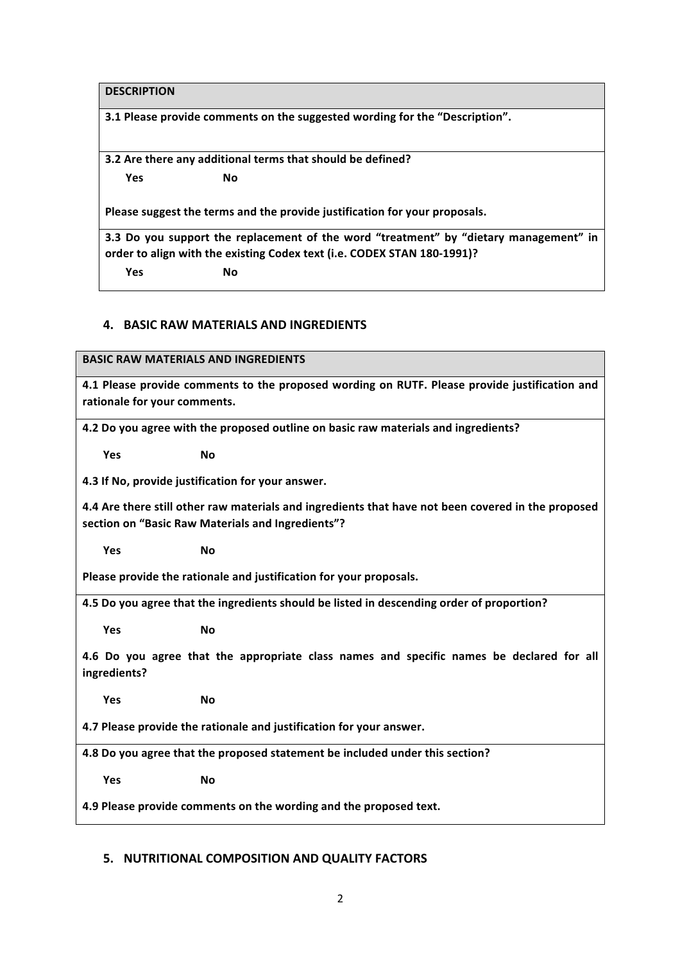**DESCRIPTION**

**3.1 Please provide comments on the suggested wording for the "Description".** 

**3.2** Are there any additional terms that should be defined? **Yes No** 

Please suggest the terms and the provide justification for your proposals.

**3.3** Do you support the replacement of the word "treatment" by "dietary management" in order to align with the existing Codex text (i.e. CODEX STAN 180-1991)? **Yes No** 

#### **4. BASIC RAW MATERIALS AND INGREDIENTS**

**BASIC RAW MATERIALS AND INGREDIENTS** 

**4.1 Please provide comments to the proposed wording on RUTF. Please provide justification and** rationale for your comments.

4.2 Do you agree with the proposed outline on basic raw materials and ingredients?

**Yes No** 

**4.3 If No, provide justification for your answer.** 

**4.4** Are there still other raw materials and ingredients that have not been covered in the proposed section on "Basic Raw Materials and Ingredients"?

**Yes No** 

Please provide the rationale and justification for your proposals.

4.5 Do you agree that the ingredients should be listed in descending order of proportion?

**Yes No** 

**4.6** Do you agree that the appropriate class names and specific names be declared for all **ingredients?**

**Yes No** 

**4.7 Please provide the rationale and justification for your answer.** 

**4.8** Do you agree that the proposed statement be included under this section?

**Yes No** 

**4.9 Please provide comments on the wording and the proposed text.** 

## **5. NUTRITIONAL COMPOSITION AND QUALITY FACTORS**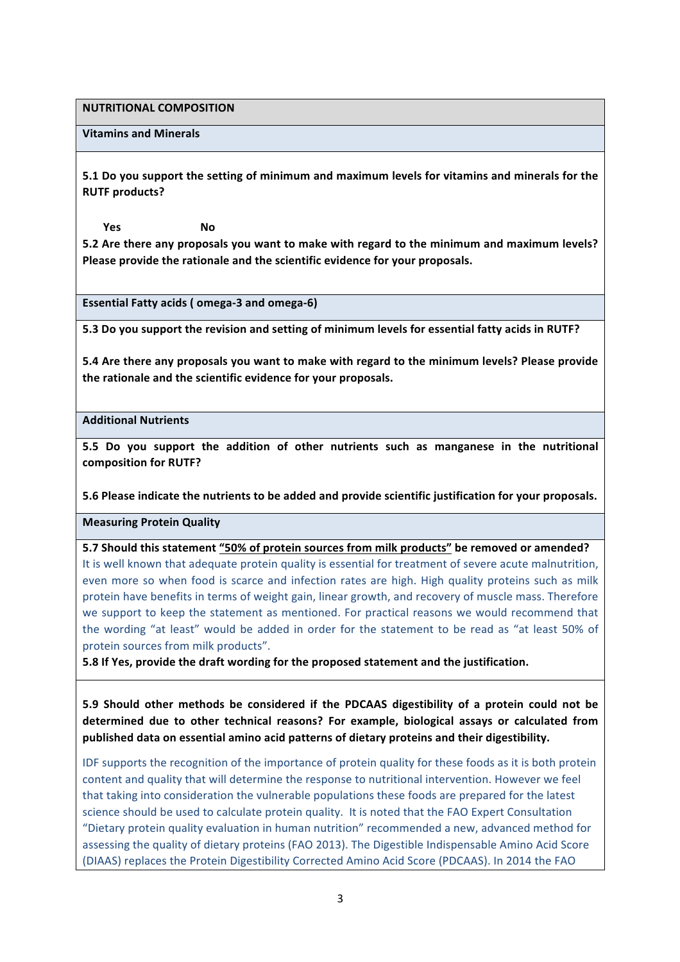**NUTRITIONAL COMPOSITION**

#### **Vitamins and Minerals**

**5.1** Do you support the setting of minimum and maximum levels for vitamins and minerals for the **RUTF** products?

**Yes No** 5.2 Are there any proposals you want to make with regard to the minimum and maximum levels? Please provide the rationale and the scientific evidence for your proposals.

**Essential Fatty acids ( omega-3 and omega-6)** 

**5.3** Do you support the revision and setting of minimum levels for essential fatty acids in RUTF?

**5.4** Are there any proposals you want to make with regard to the minimum levels? Please provide the rationale and the scientific evidence for your proposals.

#### **Additional Nutrients**

5.5 Do you support the addition of other nutrients such as manganese in the nutritional **composition for RUTF?**

**5.6 Please indicate the nutrients to be added and provide scientific justification for your proposals.** 

**Measuring Protein Quality**

**5.7** Should this statement "50% of protein sources from milk products" be removed or amended?

It is well known that adequate protein quality is essential for treatment of severe acute malnutrition, even more so when food is scarce and infection rates are high. High quality proteins such as milk protein have benefits in terms of weight gain, linear growth, and recovery of muscle mass. Therefore we support to keep the statement as mentioned. For practical reasons we would recommend that the wording "at least" would be added in order for the statement to be read as "at least 50% of protein sources from milk products".

**5.8** If Yes, provide the draft wording for the proposed statement and the justification.

**5.9** Should other methods be considered if the PDCAAS digestibility of a protein could not be determined due to other technical reasons? For example, biological assays or calculated from published data on essential amino acid patterns of dietary proteins and their digestibility.

IDF supports the recognition of the importance of protein quality for these foods as it is both protein content and quality that will determine the response to nutritional intervention. However we feel that taking into consideration the vulnerable populations these foods are prepared for the latest science should be used to calculate protein quality. It is noted that the FAO Expert Consultation "Dietary protein quality evaluation in human nutrition" recommended a new, advanced method for assessing the quality of dietary proteins (FAO 2013). The Digestible Indispensable Amino Acid Score (DIAAS) replaces the Protein Digestibility Corrected Amino Acid Score (PDCAAS). In 2014 the FAO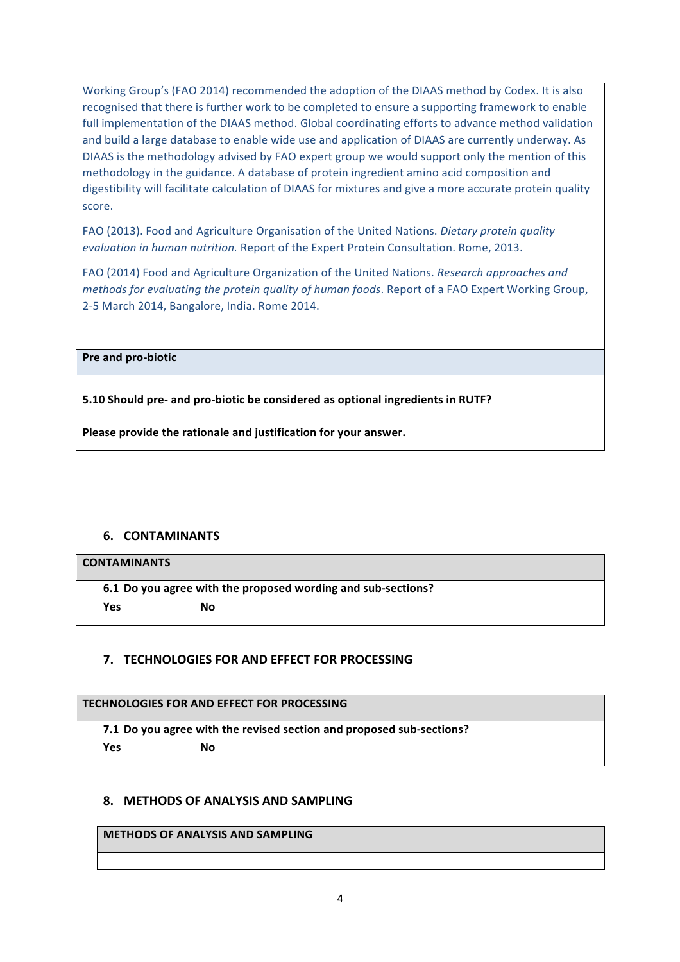Working Group's (FAO 2014) recommended the adoption of the DIAAS method by Codex. It is also recognised that there is further work to be completed to ensure a supporting framework to enable full implementation of the DIAAS method. Global coordinating efforts to advance method validation and build a large database to enable wide use and application of DIAAS are currently underway. As DIAAS is the methodology advised by FAO expert group we would support only the mention of this methodology in the guidance. A database of protein ingredient amino acid composition and digestibility will facilitate calculation of DIAAS for mixtures and give a more accurate protein quality score.

FAO (2013). Food and Agriculture Organisation of the United Nations. *Dietary protein quality evaluation in human nutrition.* Report of the Expert Protein Consultation. Rome, 2013.

FAO (2014) Food and Agriculture Organization of the United Nations. *Research approaches and methods for evaluating the protein quality of human foods.* Report of a FAO Expert Working Group, 2-5 March 2014, Bangalore, India. Rome 2014.

**Pre and pro-biotic** 

**5.10 Should pre- and pro-biotic be considered as optional ingredients in RUTF?**

Please provide the rationale and justification for your answer.

## **6. CONTAMINANTS**

#### **CONTAMINANTS**

**6.1 Do you agree with the proposed wording and sub-sections? Yes No** 

## **7. TECHNOLOGIES FOR AND EFFECT FOR PROCESSING**

#### **TECHNOLOGIES FOR AND EFFECT FOR PROCESSING**

**7.1** Do you agree with the revised section and proposed sub-sections?

**Yes No** 

## **8. METHODS OF ANALYSIS AND SAMPLING**

#### **METHODS OF ANALYSIS AND SAMPLING**